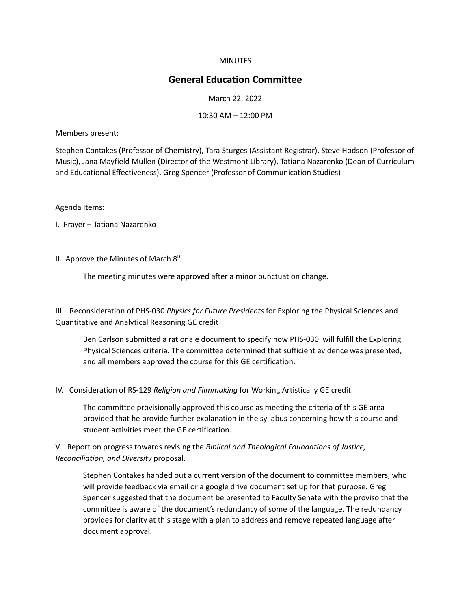### **MINUTES**

# **General Education Committee**

#### March 22, 2022

#### 10:30 AM – 12:00 PM

Members present:

Stephen Contakes (Professor of Chemistry), Tara Sturges (Assistant Registrar), Steve Hodson (Professor of Music), Jana Mayfield Mullen (Director of the Westmont Library), Tatiana Nazarenko (Dean of Curriculum and Educational Effectiveness), Greg Spencer (Professor of Communication Studies)

Agenda Items:

I. Prayer – Tatiana Nazarenko

II. Approve the Minutes of March  $8<sup>th</sup>$ 

The meeting minutes were approved after a minor punctuation change.

III. Reconsideration of PHS-030 *Physics for Future Presidents* for Exploring the Physical Sciences and Quantitative and Analytical Reasoning GE credit

Ben Carlson submitted a rationale document to specify how PHS-030 will fulfill the Exploring Physical Sciences criteria. The committee determined that sufficient evidence was presented, and all members approved the course for this GE certification.

IV. Consideration of RS-129 *Religion and Filmmaking* for Working Artistically GE credit

The committee provisionally approved this course as meeting the criteria of this GE area provided that he provide further explanation in the syllabus concerning how this course and student activities meet the GE certification.

V. Report on progress towards revising the *Biblical and Theological Foundations of Justice, Reconciliation, and Diversity* proposal.

Stephen Contakes handed out a current version of the document to committee members, who will provide feedback via email or a google drive document set up for that purpose. Greg Spencer suggested that the document be presented to Faculty Senate with the proviso that the committee is aware of the document's redundancy of some of the language. The redundancy provides for clarity at this stage with a plan to address and remove repeated language after document approval.